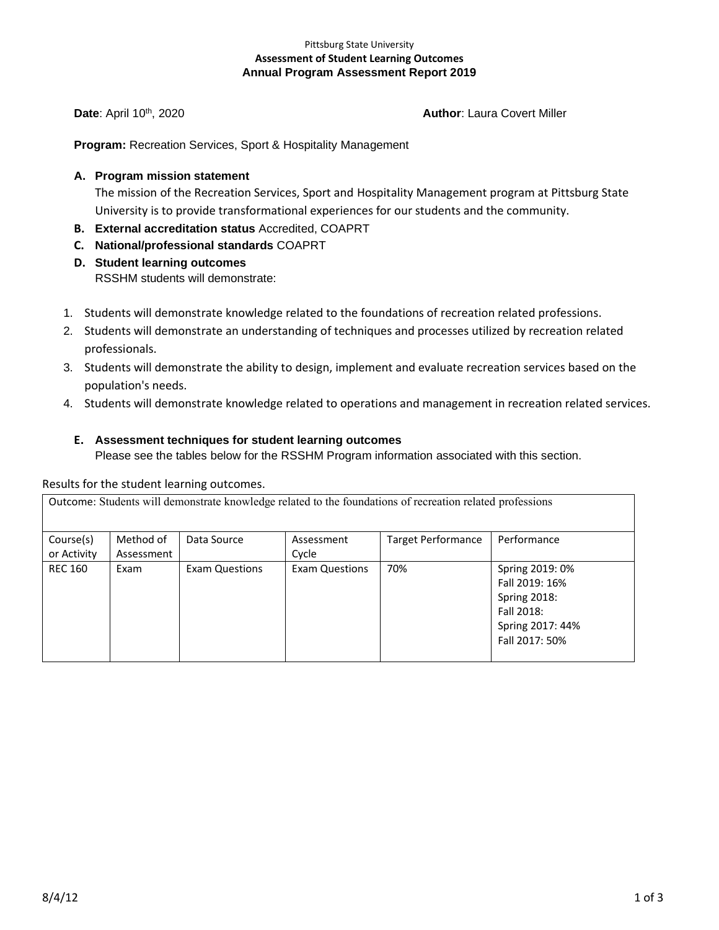### Pittsburg State University **Assessment of Student Learning Outcomes Annual Program Assessment Report 2019**

## **Date**: April 10<sup>th</sup>, 2020 **Author**: Laura Covert Miller

**Program:** Recreation Services, Sport & Hospitality Management

## **A. Program mission statement**

The mission of the Recreation Services, Sport and Hospitality Management program at Pittsburg State University is to provide transformational experiences for our students and the community.

- **B. External accreditation status** Accredited, COAPRT
- **C. National/professional standards** COAPRT
- **D. Student learning outcomes**  RSSHM students will demonstrate:
- 1. Students will demonstrate knowledge related to the foundations of recreation related professions.
- 2. Students will demonstrate an understanding of techniques and processes utilized by recreation related professionals.
- 3. Students will demonstrate the ability to design, implement and evaluate recreation services based on the population's needs.
- 4. Students will demonstrate knowledge related to operations and management in recreation related services.

### **E. Assessment techniques for student learning outcomes**

Please see the tables below for the RSSHM Program information associated with this section.

### Results for the student learning outcomes.

| Outcome: Students will demonstrate knowledge related to the foundations of recreation related professions |                         |                       |                       |                           |                                                                                                              |
|-----------------------------------------------------------------------------------------------------------|-------------------------|-----------------------|-----------------------|---------------------------|--------------------------------------------------------------------------------------------------------------|
| Course(s)<br>or Activity                                                                                  | Method of<br>Assessment | Data Source           | Assessment<br>Cycle   | <b>Target Performance</b> | Performance                                                                                                  |
| <b>REC 160</b>                                                                                            | Exam                    | <b>Exam Questions</b> | <b>Exam Questions</b> | 70%                       | Spring 2019: 0%<br>Fall 2019: 16%<br><b>Spring 2018:</b><br>Fall 2018:<br>Spring 2017: 44%<br>Fall 2017: 50% |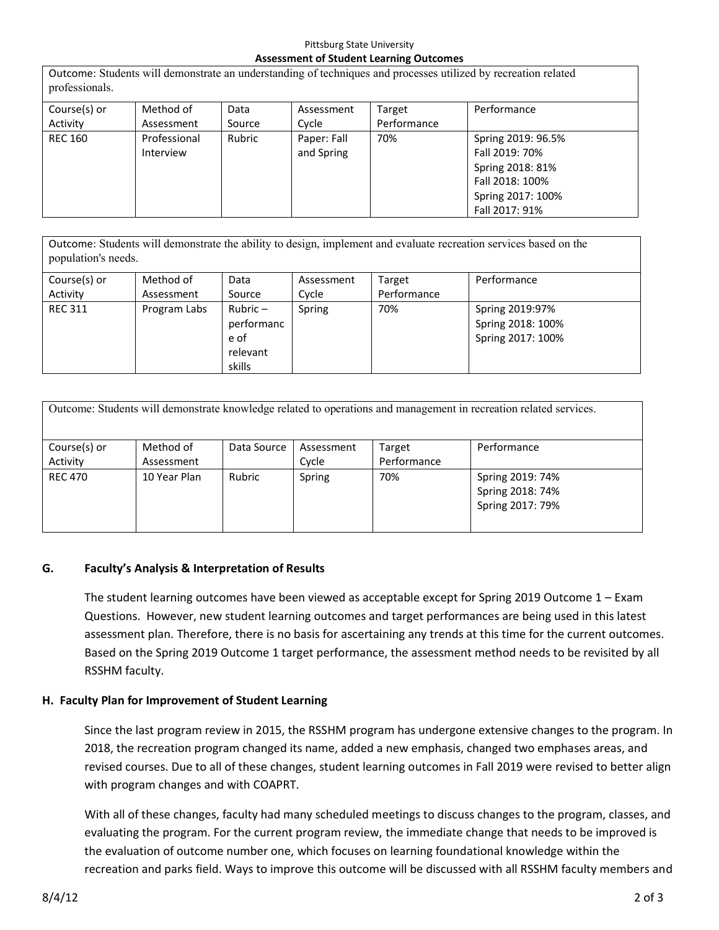### Pittsburg State University **Assessment of Student Learning Outcomes**

Outcome: Students will demonstrate an understanding of techniques and processes utilized by recreation related professionals.

| Course(s) or   | Method of                 | Data   | Assessment                | Target      | Performance                                                                                                        |  |
|----------------|---------------------------|--------|---------------------------|-------------|--------------------------------------------------------------------------------------------------------------------|--|
| Activity       | Assessment                | Source | Cycle                     | Performance |                                                                                                                    |  |
| <b>REC 160</b> | Professional<br>Interview | Rubric | Paper: Fall<br>and Spring | 70%         | Spring 2019: 96.5%<br>Fall 2019: 70%<br>Spring 2018: 81%<br>Fall 2018: 100%<br>Spring 2017: 100%<br>Fall 2017: 91% |  |

Outcome: Students will demonstrate the ability to design, implement and evaluate recreation services based on the population's needs.

| Course(s) or   | Method of    | Data                                                 | Assessment | Target      | Performance                                               |
|----------------|--------------|------------------------------------------------------|------------|-------------|-----------------------------------------------------------|
| Activity       | Assessment   | Source                                               | Cycle      | Performance |                                                           |
| <b>REC 311</b> | Program Labs | Rubric –<br>performanc<br>e of<br>relevant<br>skills | Spring     | 70%         | Spring 2019:97%<br>Spring 2018: 100%<br>Spring 2017: 100% |

| Outcome: Students will demonstrate knowledge related to operations and management in recreation related services. |                         |             |                     |                       |                                                          |  |
|-------------------------------------------------------------------------------------------------------------------|-------------------------|-------------|---------------------|-----------------------|----------------------------------------------------------|--|
| Course(s) or<br>Activity                                                                                          | Method of<br>Assessment | Data Source | Assessment<br>Cycle | Target<br>Performance | Performance                                              |  |
| <b>REC 470</b>                                                                                                    | 10 Year Plan            | Rubric      | Spring              | 70%                   | Spring 2019: 74%<br>Spring 2018: 74%<br>Spring 2017: 79% |  |

# **G. Faculty's Analysis & Interpretation of Results**

The student learning outcomes have been viewed as acceptable except for Spring 2019 Outcome 1 – Exam Questions. However, new student learning outcomes and target performances are being used in this latest assessment plan. Therefore, there is no basis for ascertaining any trends at this time for the current outcomes. Based on the Spring 2019 Outcome 1 target performance, the assessment method needs to be revisited by all RSSHM faculty.

# **H. Faculty Plan for Improvement of Student Learning**

Since the last program review in 2015, the RSSHM program has undergone extensive changes to the program. In 2018, the recreation program changed its name, added a new emphasis, changed two emphases areas, and revised courses. Due to all of these changes, student learning outcomes in Fall 2019 were revised to better align with program changes and with COAPRT.

With all of these changes, faculty had many scheduled meetings to discuss changes to the program, classes, and evaluating the program. For the current program review, the immediate change that needs to be improved is the evaluation of outcome number one, which focuses on learning foundational knowledge within the recreation and parks field. Ways to improve this outcome will be discussed with all RSSHM faculty members and